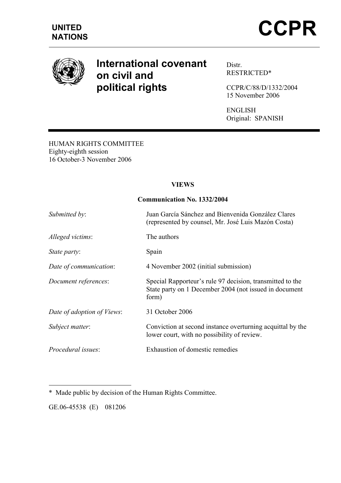

# International covenant on civil and political rights

Distr. RESTRICTED\*

CCPR/C/88/D/1332/2004 15 November 2006

ENGLISH Original: SPANISH

HUMAN RIGHTS COMMITTEE Eighty-eighth session 16 October-3 November 2006

## VIEWS

Communication No. 1332/2004

| Submitted by:              | Juan García Sánchez and Bienvenida González Clares<br>(represented by counsel, Mr. José Luis Mazón Costa)                    |
|----------------------------|------------------------------------------------------------------------------------------------------------------------------|
| Alleged victims:           | The authors                                                                                                                  |
| State party:               | Spain                                                                                                                        |
| Date of communication:     | 4 November 2002 (initial submission)                                                                                         |
| Document references:       | Special Rapporteur's rule 97 decision, transmitted to the<br>State party on 1 December 2004 (not issued in document<br>form) |
| Date of adoption of Views: | 31 October 2006                                                                                                              |
| Subject matter:            | Conviction at second instance overturning acquittal by the<br>lower court, with no possibility of review.                    |
| <i>Procedural issues:</i>  | Exhaustion of domestic remedies                                                                                              |

\* Made public by decision of the Human Rights Committee.

GE.06-45538 (E) 081206

 $\overline{a}$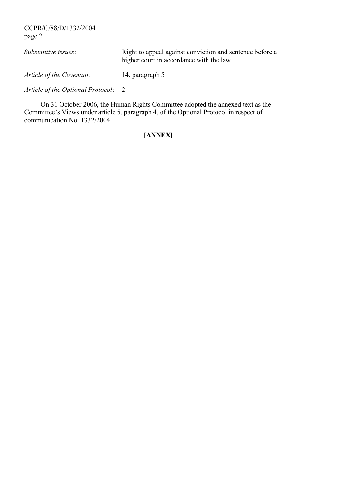CCPR/C/88/D/1332/2004 page 2

| Substantive issues:      | Right to appeal against conviction and sentence before a<br>higher court in accordance with the law. |
|--------------------------|------------------------------------------------------------------------------------------------------|
| Article of the Covenant: | 14, paragraph 5                                                                                      |

Article of the Optional Protocol: 2

On 31 October 2006, the Human Rights Committee adopted the annexed text as the Committee's Views under article 5, paragraph 4, of the Optional Protocol in respect of communication No. 1332/2004.

# [ANNEX]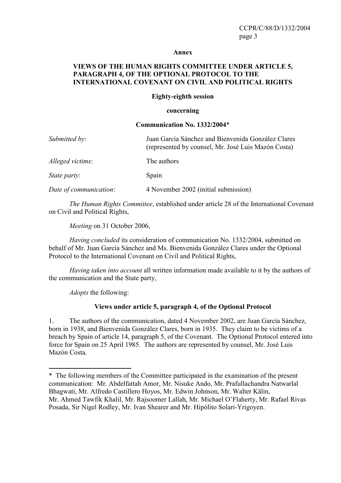#### Annex

#### VIEWS OF THE HUMAN RIGHTS COMMITTEE UNDER ARTICLE 5, PARAGRAPH 4, OF THE OPTIONAL PROTOCOL TO THE INTERNATIONAL COVENANT ON CIVIL AND POLITICAL RIGHTS

#### Eighty-eighth session

#### concerning

#### Communication No. 1332/2004\*

| Submitted by:          | Juan García Sánchez and Bienvenida González Clares<br>(represented by counsel, Mr. José Luis Mazón Costa) |
|------------------------|-----------------------------------------------------------------------------------------------------------|
| Alleged victims:       | The authors                                                                                               |
| <i>State party:</i>    | Spain                                                                                                     |
| Date of communication: | 4 November 2002 (initial submission)                                                                      |

The Human Rights Committee, established under article 28 of the International Covenant on Civil and Political Rights,

Meeting on 31 October 2006,

Having concluded its consideration of communication No. 1332/2004, submitted on behalf of Mr. Juan García Sánchez and Ms. Bienvenida González Clares under the Optional Protocol to the International Covenant on Civil and Political Rights,

Having taken into account all written information made available to it by the authors of the communication and the State party,

Adopts the following:

 $\overline{a}$ 

#### Views under article 5, paragraph 4, of the Optional Protocol

1. The authors of the communication, dated 4 November 2002, are Juan García Sánchez, born in 1938, and Bienvenida González Clares, born in 1935. They claim to be victims of a breach by Spain of article 14, paragraph 5, of the Covenant. The Optional Protocol entered into force for Spain on 25 April 1985. The authors are represented by counsel, Mr. José Luis Mazón Costa.

<sup>\*</sup> The following members of the Committee participated in the examination of the present communication: Mr. Abdelfattah Amor, Mr. Nisuke Ando, Mr. Prafullachandra Natwarlal Bhagwati, Mr. Alfredo Castillero Hoyos, Mr. Edwin Johnson, Mr. Walter Kälin, Mr. Ahmed Tawfik Khalil, Mr. Rajsoomer Lallah, Mr. Michael O'Flaherty, Mr. Rafael Rivas Posada, Sir Nigel Rodley, Mr. Ivan Shearer and Mr. Hipólito Solari-Yrigoyen.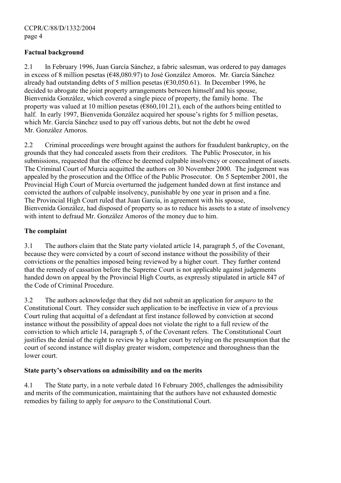# Factual background

2.1 In February 1996, Juan García Sánchez, a fabric salesman, was ordered to pay damages in excess of 8 million pesetas (€48,080.97) to José González Amoros. Mr. García Sánchez already had outstanding debts of 5 million pesetas ( $\epsilon$ 30,050.61). In December 1996, he decided to abrogate the joint property arrangements between himself and his spouse, Bienvenida González, which covered a single piece of property, the family home. The property was valued at 10 million pesetas ( $\epsilon$ 860,101.21), each of the authors being entitled to half. In early 1997, Bienvenida González acquired her spouse's rights for 5 million pesetas, which Mr. García Sánchez used to pay off various debts, but not the debt he owed Mr. González Amoros.

2.2 Criminal proceedings were brought against the authors for fraudulent bankruptcy, on the grounds that they had concealed assets from their creditors. The Public Prosecutor, in his submissions, requested that the offence be deemed culpable insolvency or concealment of assets. The Criminal Court of Murcia acquitted the authors on 30 November 2000. The judgement was appealed by the prosecution and the Office of the Public Prosecutor. On 5 September 2001, the Provincial High Court of Murcia overturned the judgement handed down at first instance and convicted the authors of culpable insolvency, punishable by one year in prison and a fine. The Provincial High Court ruled that Juan García, in agreement with his spouse, Bienvenida González, had disposed of property so as to reduce his assets to a state of insolvency with intent to defraud Mr. González Amoros of the money due to him.

## The complaint

3.1 The authors claim that the State party violated article 14, paragraph 5, of the Covenant, because they were convicted by a court of second instance without the possibility of their convictions or the penalties imposed being reviewed by a higher court. They further contend that the remedy of cassation before the Supreme Court is not applicable against judgements handed down on appeal by the Provincial High Courts, as expressly stipulated in article 847 of the Code of Criminal Procedure.

3.2 The authors acknowledge that they did not submit an application for amparo to the Constitutional Court. They consider such application to be ineffective in view of a previous Court ruling that acquittal of a defendant at first instance followed by conviction at second instance without the possibility of appeal does not violate the right to a full review of the conviction to which article 14, paragraph 5, of the Covenant refers. The Constitutional Court justifies the denial of the right to review by a higher court by relying on the presumption that the court of second instance will display greater wisdom, competence and thoroughness than the lower court.

# State party's observations on admissibility and on the merits

4.1 The State party, in a note verbale dated 16 February 2005, challenges the admissibility and merits of the communication, maintaining that the authors have not exhausted domestic remedies by failing to apply for amparo to the Constitutional Court.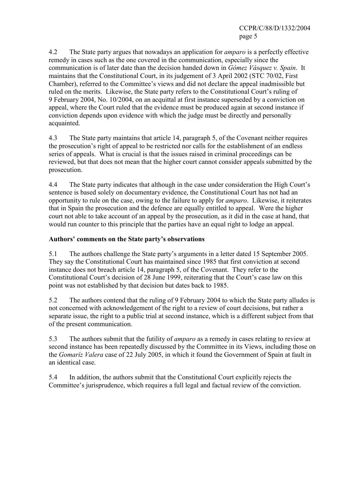4.2 The State party argues that nowadays an application for *amparo* is a perfectly effective remedy in cases such as the one covered in the communication, especially since the communication is of later date than the decision handed down in *Gómez Vásquez v. Spain.* It maintains that the Constitutional Court, in its judgement of 3 April 2002 (STC 70/02, First Chamber), referred to the Committee's views and did not declare the appeal inadmissible but ruled on the merits. Likewise, the State party refers to the Constitutional Court's ruling of 9 February 2004, No. 10/2004, on an acquittal at first instance superseded by a conviction on appeal, where the Court ruled that the evidence must be produced again at second instance if conviction depends upon evidence with which the judge must be directly and personally acquainted.

4.3 The State party maintains that article 14, paragraph 5, of the Covenant neither requires the prosecution's right of appeal to be restricted nor calls for the establishment of an endless series of appeals. What is crucial is that the issues raised in criminal proceedings can be reviewed, but that does not mean that the higher court cannot consider appeals submitted by the prosecution.

4.4 The State party indicates that although in the case under consideration the High Court's sentence is based solely on documentary evidence, the Constitutional Court has not had an opportunity to rule on the case, owing to the failure to apply for amparo. Likewise, it reiterates that in Spain the prosecution and the defence are equally entitled to appeal. Were the higher court not able to take account of an appeal by the prosecution, as it did in the case at hand, that would run counter to this principle that the parties have an equal right to lodge an appeal.

# Authors' comments on the State party's observations

5.1 The authors challenge the State party's arguments in a letter dated 15 September 2005. They say the Constitutional Court has maintained since 1985 that first conviction at second instance does not breach article 14, paragraph 5, of the Covenant. They refer to the Constitutional Court's decision of 28 June 1999, reiterating that the Court's case law on this point was not established by that decision but dates back to 1985.

5.2 The authors contend that the ruling of 9 February 2004 to which the State party alludes is not concerned with acknowledgement of the right to a review of court decisions, but rather a separate issue, the right to a public trial at second instance, which is a different subject from that of the present communication.

5.3 The authors submit that the futility of *amparo* as a remedy in cases relating to review at second instance has been repeatedly discussed by the Committee in its Views, including those on the Gomaríz Valera case of 22 July 2005, in which it found the Government of Spain at fault in an identical case.

5.4 In addition, the authors submit that the Constitutional Court explicitly rejects the Committee's jurisprudence, which requires a full legal and factual review of the conviction.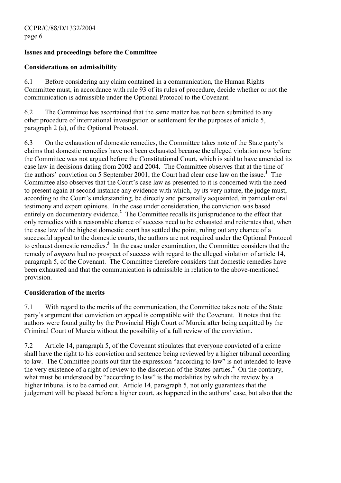## Issues and proceedings before the Committee

#### Considerations on admissibility

6.1 Before considering any claim contained in a communication, the Human Rights Committee must, in accordance with rule 93 of its rules of procedure, decide whether or not the communication is admissible under the Optional Protocol to the Covenant.

6.2 The Committee has ascertained that the same matter has not been submitted to any other procedure of international investigation or settlement for the purposes of article 5, paragraph 2 (a), of the Optional Protocol.

6.3 On the exhaustion of domestic remedies, the Committee takes note of the State party's claims that domestic remedies have not been exhausted because the alleged violation now before the Committee was not argued before the Constitutional Court, which is said to have amended its case law in decisions dating from 2002 and 2004. The Committee observes that at the time of the authors' conviction on 5 September 200[1](#page-7-0), the Court had clear case law on the issue.<sup>1</sup> The Committee also observes that the Court's case law as presented to it is concerned with the need to present again at second instance any evidence with which, by its very nature, the judge must, according to the Court's understanding, be directly and personally acquainted, in particular oral testimony and expert opinions. In the case under consideration, the conviction was based entirely on documentary evidence.<sup>[2](#page-7-0)</sup> The Committee recalls its jurisprudence to the effect that only remedies with a reasonable chance of success need to be exhausted and reiterates that, when the case law of the highest domestic court has settled the point, ruling out any chance of a successful appeal to the domestic courts, the authors are not required under the Optional Protocol to exhaust domestic remedies. $<sup>3</sup>$  $<sup>3</sup>$  $<sup>3</sup>$  In the case under examination, the Committee considers that the</sup> remedy of amparo had no prospect of success with regard to the alleged violation of article 14, paragraph 5, of the Covenant. The Committee therefore considers that domestic remedies have been exhausted and that the communication is admissible in relation to the above-mentioned provision.

# Consideration of the merits

7.1 With regard to the merits of the communication, the Committee takes note of the State party's argument that conviction on appeal is compatible with the Covenant. It notes that the authors were found guilty by the Provincial High Court of Murcia after being acquitted by the Criminal Court of Murcia without the possibility of a full review of the conviction.

7.2 Article 14, paragraph 5, of the Covenant stipulates that everyone convicted of a crime shall have the right to his conviction and sentence being reviewed by a higher tribunal according to law. The Committee points out that the expression "according to law" is not intended to leave the very existence of a right of review to the discretion of the States parties.<sup>[4](#page-7-0)</sup> On the contrary, what must be understood by "according to law" is the modalities by which the review by a higher tribunal is to be carried out. Article 14, paragraph 5, not only guarantees that the judgement will be placed before a higher court, as happened in the authors' case, but also that the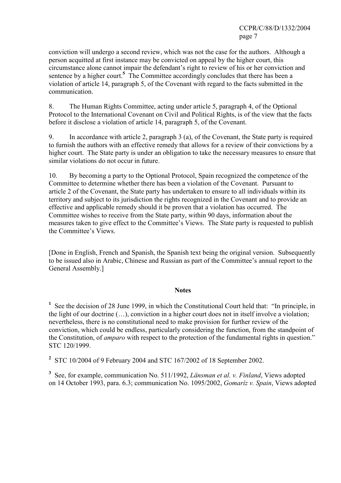CCPR/C/88/D/1332/2004 page 7

conviction will undergo a second review, which was not the case for the authors. Although a person acquitted at first instance may be convicted on appeal by the higher court, this circumstance alone cannot impair the defendant's right to review of his or her conviction and sentence by a higher court.<sup>[5](#page-7-0)</sup> The Committee accordingly concludes that there has been a violation of article 14, paragraph 5, of the Covenant with regard to the facts submitted in the communication.

8. The Human Rights Committee, acting under article 5, paragraph 4, of the Optional Protocol to the International Covenant on Civil and Political Rights, is of the view that the facts before it disclose a violation of article 14, paragraph 5, of the Covenant.

9. In accordance with article 2, paragraph 3 (a), of the Covenant, the State party is required to furnish the authors with an effective remedy that allows for a review of their convictions by a higher court. The State party is under an obligation to take the necessary measures to ensure that similar violations do not occur in future.

10. By becoming a party to the Optional Protocol, Spain recognized the competence of the Committee to determine whether there has been a violation of the Covenant. Pursuant to article 2 of the Covenant, the State party has undertaken to ensure to all individuals within its territory and subject to its jurisdiction the rights recognized in the Covenant and to provide an effective and applicable remedy should it be proven that a violation has occurred. The Committee wishes to receive from the State party, within 90 days, information about the measures taken to give effect to the Committee's Views. The State party is requested to publish the Committee's Views.

[Done in English, French and Spanish, the Spanish text being the original version. Subsequently to be issued also in Arabic, Chinese and Russian as part of the Committee's annual report to the General Assembly.]

#### **Notes**

<sup>1</sup> See the decision of 28 June 1999, in which the Constitutional Court held that: "In principle, in the light of our doctrine (…), conviction in a higher court does not in itself involve a violation; nevertheless, there is no constitutional need to make provision for further review of the conviction, which could be endless, particularly considering the function, from the standpoint of the Constitution, of amparo with respect to the protection of the fundamental rights in question." STC 120/1999.

<sup>2</sup> STC 10/2004 of 9 February 2004 and STC 167/2002 of 18 September 2002.

 $3$  See, for example, communication No. 511/1992, *Länsman et al. v. Finland*, Views adopted on 14 October 1993, para. 6.3; communication No. 1095/2002, Gomaríz v. Spain, Views adopted